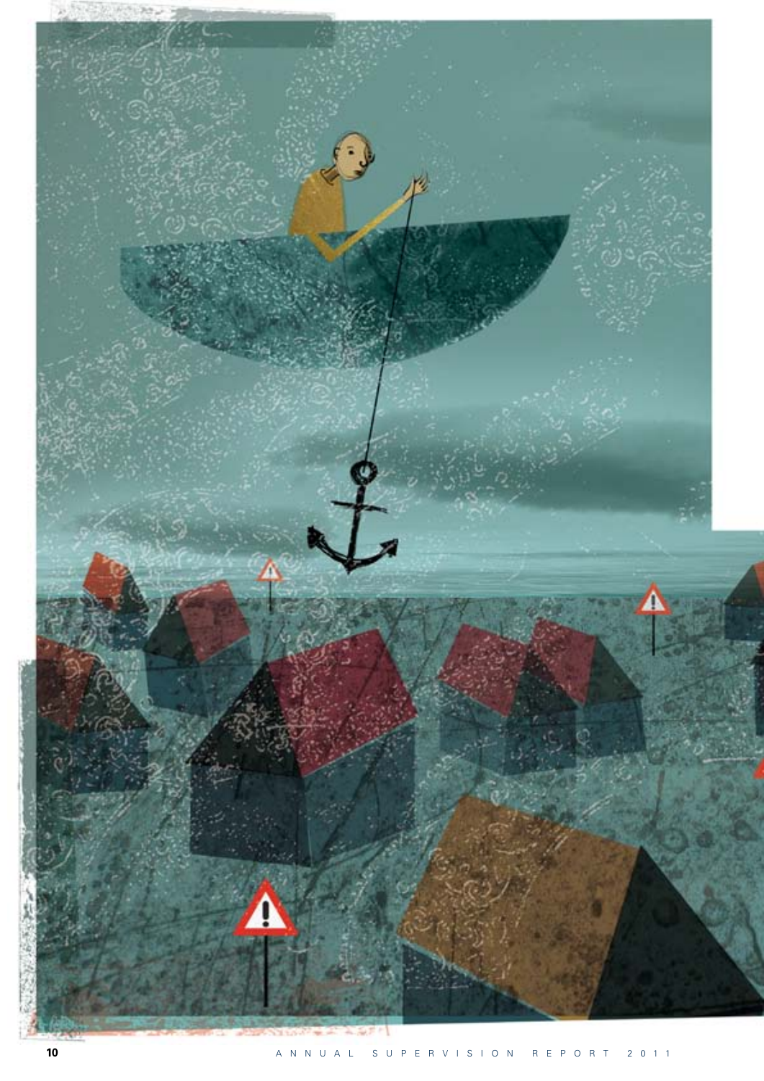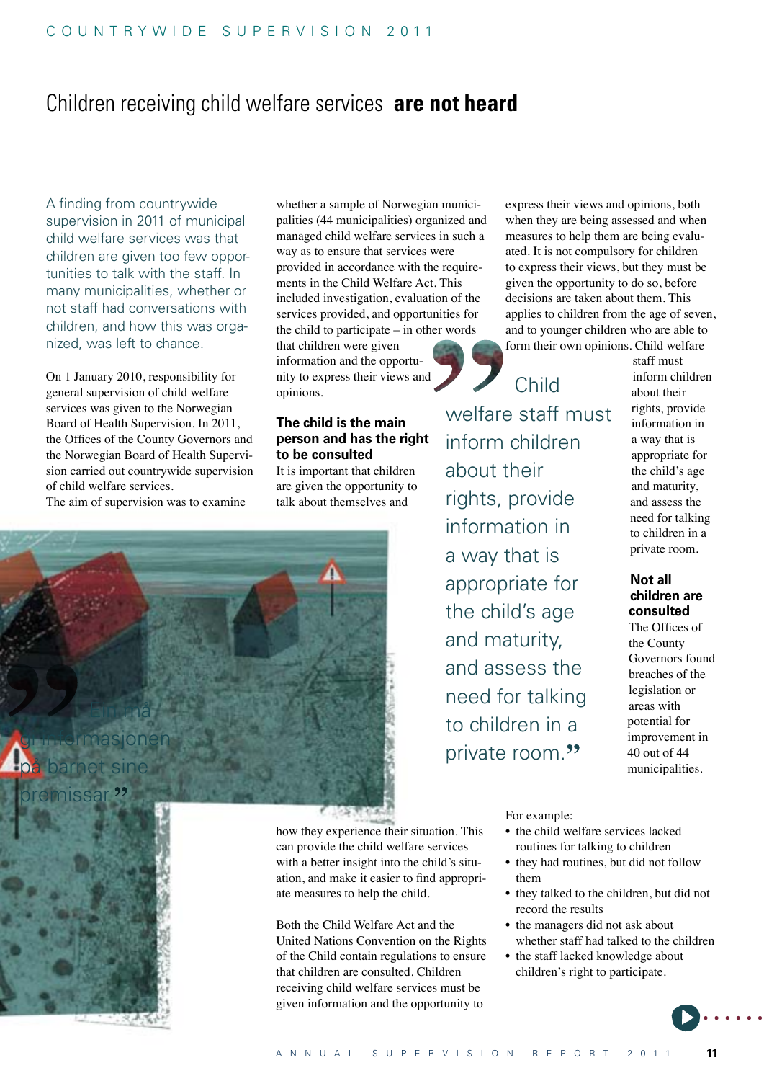# Children receiving child welfare services **are not heard**

A finding from countrywide supervision in 2011 of municipal child welfare services was that children are given too few opportunities to talk with the staff. In many municipalities, whether or not staff had conversations with children, and how this was organized, was left to chance.

On 1 January 2010, responsibility for general supervision of child welfare services was given to the Norwegian Board of Health Supervision. In 2011, the Offices of the County Governors and the Norwegian Board of Health Supervision carried out countrywide supervision of child welfare services.

The aim of supervision was to examine

Ein må

gi informasjonen

på barnet sine i

premissar

whether a sample of Norwegian municipalities (44 municipalities) organized and managed child welfare services in such a way as to ensure that services were provided in accordance with the requirements in the Child Welfare Act. This included investigation, evaluation of the services provided, and opportunities for the child to participate – in other words

that children were given information and the opportunity to express their views and opinions.

### **The child is the main person and has the right to be consulted**

It is important that children are given the opportunity to talk about themselves and

express their views and opinions, both when they are being assessed and when measures to help them are being evaluated. It is not compulsory for children to express their views, but they must be given the opportunity to do so, before decisions are taken about them. This applies to children from the age of seven, and to younger children who are able to form their own opinions. Child welfare

 Child welfare staff must inform children about their rights, provide information in a way that is appropriate for the child's age and maturity, and assess the need for talking to children in a private room."

staff must inform children about their rights, provide information in a way that is appropriate for the child's age and maturity, and assess the need for talking to children in a private room.

### **Not all children are consulted**

The Offices of the County Governors found breaches of the legislation or areas with potential for improvement in 40 out of 44 municipalities.

how they experience their situation. This can provide the child welfare services with a better insight into the child's situation, and make it easier to find appropriate measures to help the child.

Both the Child Welfare Act and the United Nations Convention on the Rights of the Child contain regulations to ensure that children are consulted. Children receiving child welfare services must be given information and the opportunity to

#### For example:

- the child welfare services lacked routines for talking to children
- they had routines, but did not follow them
- they talked to the children, but did not record the results
- the managers did not ask about whether staff had talked to the children
- the staff lacked knowledge about children's right to participate.